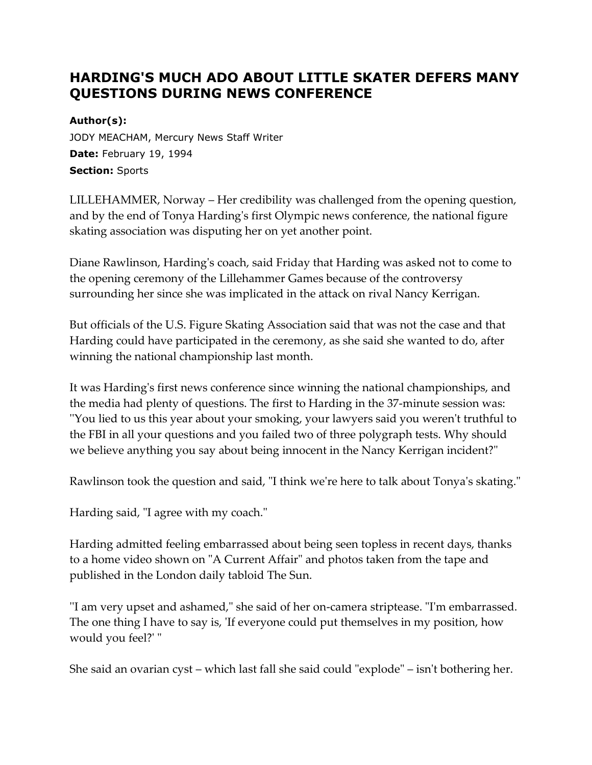## **HARDING'S MUCH ADO ABOUT LITTLE SKATER DEFERS MANY QUESTIONS DURING NEWS CONFERENCE**

## **Author(s):**

JODY MEACHAM, Mercury News Staff Writer **Date:** February 19, 1994 **Section:** Sports

LILLEHAMMER, Norway – Her credibility was challenged from the opening question, and by the end of Tonya Harding's first Olympic news conference, the national figure skating association was disputing her on yet another point.

Diane Rawlinson, Harding's coach, said Friday that Harding was asked not to come to the opening ceremony of the Lillehammer Games because of the controversy surrounding her since she was implicated in the attack on rival Nancy Kerrigan.

But officials of the U.S. Figure Skating Association said that was not the case and that Harding could have participated in the ceremony, as she said she wanted to do, after winning the national championship last month.

It was Harding's first news conference since winning the national championships, and the media had plenty of questions. The first to Harding in the 37-minute session was: ''You lied to us this year about your smoking, your lawyers said you weren't truthful to the FBI in all your questions and you failed two of three polygraph tests. Why should we believe anything you say about being innocent in the Nancy Kerrigan incident?"

Rawlinson took the question and said, "I think we're here to talk about Tonya's skating."

Harding said, "I agree with my coach."

Harding admitted feeling embarrassed about being seen topless in recent days, thanks to a home video shown on "A Current Affair" and photos taken from the tape and published in the London daily tabloid The Sun.

''I am very upset and ashamed," she said of her on-camera striptease. "I'm embarrassed. The one thing I have to say is, 'If everyone could put themselves in my position, how would you feel?' "

She said an ovarian cyst – which last fall she said could "explode" – isn't bothering her.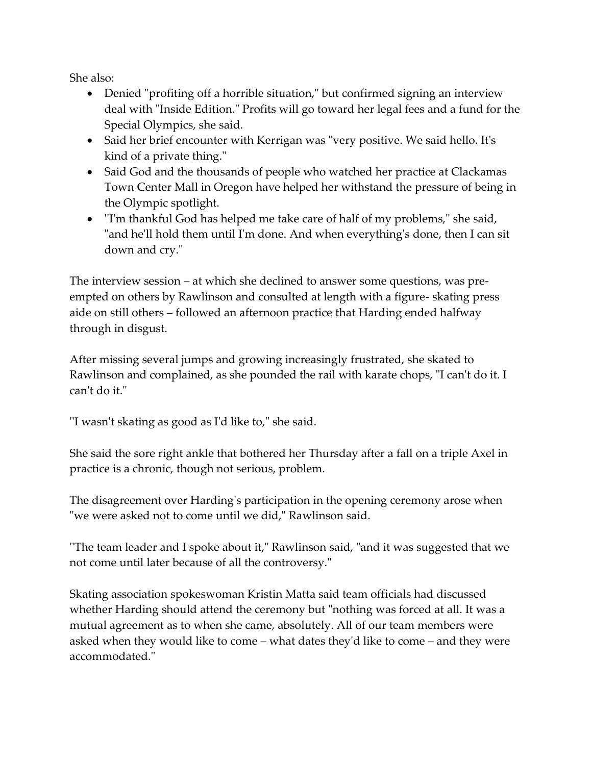She also:

- Denied "profiting off a horrible situation," but confirmed signing an interview deal with "Inside Edition." Profits will go toward her legal fees and a fund for the Special Olympics, she said.
- Said her brief encounter with Kerrigan was "very positive. We said hello. It's kind of a private thing."
- Said God and the thousands of people who watched her practice at Clackamas Town Center Mall in Oregon have helped her withstand the pressure of being in the Olympic spotlight.
- ''I'm thankful God has helped me take care of half of my problems," she said, "and he'll hold them until I'm done. And when everything's done, then I can sit down and cry."

The interview session – at which she declined to answer some questions, was preempted on others by Rawlinson and consulted at length with a figure- skating press aide on still others – followed an afternoon practice that Harding ended halfway through in disgust.

After missing several jumps and growing increasingly frustrated, she skated to Rawlinson and complained, as she pounded the rail with karate chops, "I can't do it. I can't do it."

''I wasn't skating as good as I'd like to," she said.

She said the sore right ankle that bothered her Thursday after a fall on a triple Axel in practice is a chronic, though not serious, problem.

The disagreement over Harding's participation in the opening ceremony arose when "we were asked not to come until we did," Rawlinson said.

''The team leader and I spoke about it," Rawlinson said, "and it was suggested that we not come until later because of all the controversy."

Skating association spokeswoman Kristin Matta said team officials had discussed whether Harding should attend the ceremony but "nothing was forced at all. It was a mutual agreement as to when she came, absolutely. All of our team members were asked when they would like to come – what dates they'd like to come – and they were accommodated."